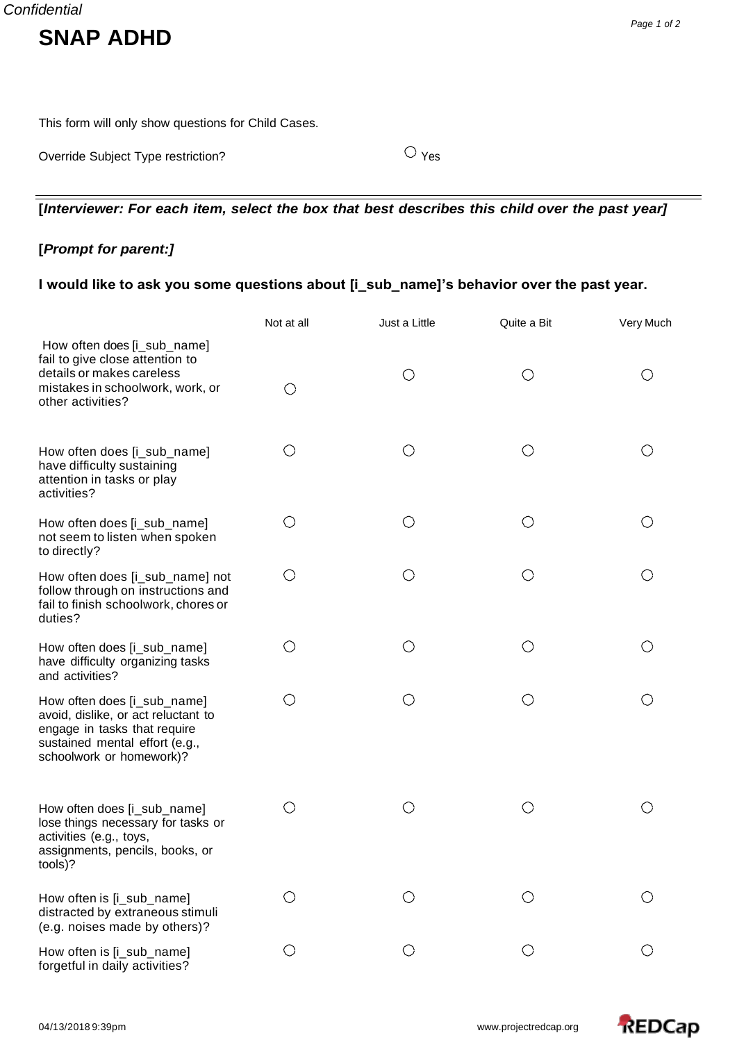This form will only show questions for Child Cases.

Override Subject Type restriction? C Yes

**[***Interviewer: For each item, select the box that best describes this child over the past year]*

## **[***Prompt for parent:]*

## **I would like to ask you some questions about [i\_sub\_name]'s behavior over the past year.**

|                                                                                                                                                                  | Not at all | Just a Little | Quite a Bit | Very Much |
|------------------------------------------------------------------------------------------------------------------------------------------------------------------|------------|---------------|-------------|-----------|
| How often does [i_sub_name]<br>fail to give close attention to<br>details or makes careless<br>mistakes in schoolwork, work, or<br>other activities?             | O          | O             | O           | ( )       |
| How often does [i_sub_name]<br>have difficulty sustaining<br>attention in tasks or play<br>activities?                                                           | $\bigcirc$ | $\bigcirc$    | $\bigcirc$  | ◯         |
| How often does [i_sub_name]<br>not seem to listen when spoken<br>to directly?                                                                                    | $\bigcirc$ | $\bigcirc$    | $\bigcirc$  |           |
| How often does [i_sub_name] not<br>follow through on instructions and<br>fail to finish schoolwork, chores or<br>duties?                                         | $\bigcirc$ | O             | O           |           |
| How often does [i_sub_name]<br>have difficulty organizing tasks<br>and activities?                                                                               | O          | O             | $\bigcirc$  |           |
| How often does [i_sub_name]<br>avoid, dislike, or act reluctant to<br>engage in tasks that require<br>sustained mental effort (e.g.,<br>schoolwork or homework)? | O          | $\bigcirc$    | $\bigcirc$  |           |
| How often does [i_sub_name]<br>lose things necessary for tasks or<br>activities (e.g., toys,<br>assignments, pencils, books, or<br>tools)?                       | $\bigcirc$ | $\bigcirc$    | O           |           |
| How often is [i_sub_name]<br>distracted by extraneous stimuli<br>(e.g. noises made by others)?                                                                   | ( )        | ( )           | ( )         |           |
| How often is [i_sub_name]<br>forgetful in daily activities?                                                                                                      | O          | O             | ◯           |           |